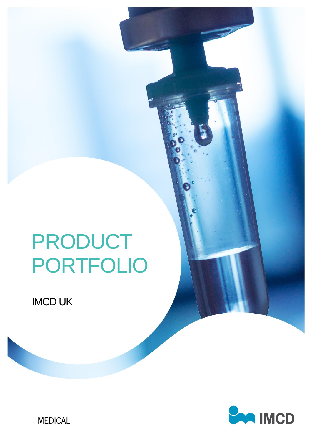# PRODUCT PORTFOLIO

IMCD Advanced Materials | Product Portfolio

IMCD UK



**MEDICAL**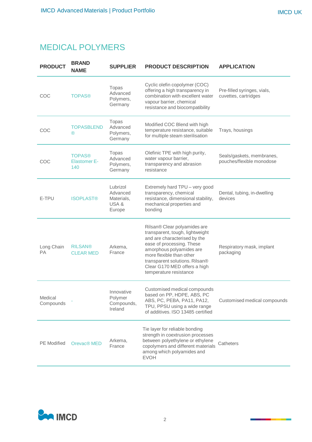# MEDICAL POLYMERS

| <b>PRODUCT</b>       | <b>BRAND</b><br><b>NAME</b>                 | <b>SUPPLIER</b>                                      | <b>PRODUCT DESCRIPTION</b>                                                                                                                                                                                                                                                       | <b>APPLICATION</b>                                     |
|----------------------|---------------------------------------------|------------------------------------------------------|----------------------------------------------------------------------------------------------------------------------------------------------------------------------------------------------------------------------------------------------------------------------------------|--------------------------------------------------------|
| COC                  | <b>TOPAS®</b>                               | Topas<br>Advanced<br>Polymers,<br>Germany            | Cyclic olefin copolymer (COC)<br>offering a high transparency in<br>combination with excellent water<br>vapour barrier, chemical<br>resistance and biocompatibility                                                                                                              | Pre-filled syringes, vials,<br>cuvettes, cartridges    |
| COC                  | <b>TOPASBLEND</b><br>®                      | Topas<br>Advanced<br>Polymers,<br>Germany            | Modified COC Blend with high<br>temperature resistance, suitable<br>for multiple steam sterilisation                                                                                                                                                                             | Trays, housings                                        |
| COC                  | <b>TOPAS®</b><br><b>Elastomer E-</b><br>140 | Topas<br>Advanced<br>Polymers,<br>Germany            | Olefinic TPE with high purity,<br>water vapour barrier,<br>transparency and abrasion<br>resistance                                                                                                                                                                               | Seals/gaskets, membranes,<br>pouches/flexible monodose |
| E-TPU                | <b>ISOPLAST®</b>                            | Lubrizol<br>Advanced<br>Materials,<br>USA&<br>Europe | Extremely hard TPU - very good<br>transparency, chemical<br>resistance, dimensional stability,<br>mechanical properties and<br>bonding                                                                                                                                           | Dental, tubing, in-dwelling<br>devices                 |
| Long Chain<br>PA     | <b>RILSAN®</b><br><b>CLEAR MED</b>          | Arkema,<br>France                                    | Rilsan® Clear polyamides are<br>transparent, tough, lightweight<br>and are characterised by the<br>ease of processing. These<br>amorphous polyamides are<br>more flexible than other<br>transparent solutions. Rilsan®<br>Clear G170 MED offers a high<br>temperature resistance | Respiratory mask, implant<br>packaging                 |
| Medical<br>Compounds |                                             | Innovative<br>Polymer<br>Compounds,<br>Ireland       | Customised medical compounds<br>based on PP, HDPE, ABS, PC<br>ABS, PC, PEBA, PA11, PA12,<br>TPU, PPSU using a wide range<br>of additives. ISO 13485 certified                                                                                                                    | Customised medical compounds                           |
| <b>PE</b> Modified   | Orevac® MED                                 | Arkema,<br>France                                    | Tie layer for reliable bonding<br>strength in coextrusion processes<br>between polyethylene or ethylene<br>copolymers and different materials<br>among which polyamides and<br><b>EVOH</b>                                                                                       | Catheters                                              |

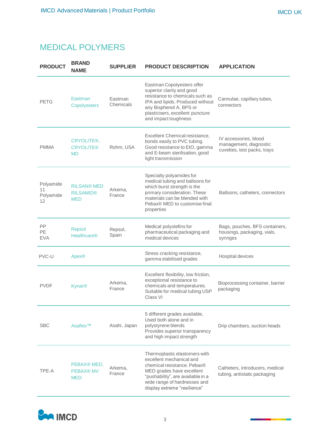## MEDICAL POLYMERS

| <b>PRODUCT</b>                     | <b>BRAND</b><br><b>NAME</b>                          | <b>SUPPLIER</b>      | <b>PRODUCT DESCRIPTION</b>                                                                                                                                                                                                 | <b>APPLICATION</b>                                                             |
|------------------------------------|------------------------------------------------------|----------------------|----------------------------------------------------------------------------------------------------------------------------------------------------------------------------------------------------------------------------|--------------------------------------------------------------------------------|
| <b>PETG</b>                        | Eastman<br>Copolyesters                              | Eastman<br>Chemicals | Eastman Copolyesters offer<br>superior clarity and good<br>resistance to chemicals such as<br>IPA and lipids. Produced without<br>any Bisphenol A, BPS or<br>plasticisers, excellent puncture<br>and impact toughness      | Cannulae, capillary tubes,<br>connectors                                       |
| <b>PMMA</b>                        | CRYOLITE®,<br><b>CRYOLITE®</b><br><b>MD</b>          | Rohm, USA            | Excellent Chemical resistance,<br>bonds easily to PVC tubing.<br>Good resistance to EtO, gamma<br>and E-beam sterilisation, good<br>light transmission                                                                     | IV accessories, blood<br>management, diagnostic<br>cuvettes, test packs, trays |
| Polyamide<br>11<br>Polyamide<br>12 | <b>RILSAN® MED</b><br><b>RILSAMID®</b><br><b>MED</b> | Arkema,<br>France    | Specialty polyamides for<br>medical tubing and balloons for<br>which burst strength is the<br>primary consideration. These<br>materials can be blended with<br>Pebax <sup>®</sup> MED to customise final<br>properties     | Balloons, catheters, connectors                                                |
| PP<br>PE<br><b>EVA</b>             | Repsol<br><b>Healthcare®</b>                         | Repsol,<br>Spain     | Medical polyolefins for<br>pharmaceutical packaging and<br>medical devices                                                                                                                                                 | Bags, pouches, BFS containers,<br>housings, packaging, vials,<br>syringes      |
| PVC-U                              | Apex®                                                |                      | Stress cracking resistance,<br>gamma stabilised grades                                                                                                                                                                     | Hospital devices                                                               |
| <b>PVDF</b>                        | Kynar <sup>®</sup>                                   | Arkema,<br>France    | Excellent flexibility, low friction,<br>exceptional resistance to<br>chemicals and temperatures.<br>Suitable for medical tubing USP<br>Class VI                                                                            | Bioprocessing container, barrier<br>packaging                                  |
| <b>SBC</b>                         | Asaflex <sup>™</sup>                                 | Asahi, Japan         | 5 different grades available,<br>Used both alone and in<br>polystyrene blends<br>Provides superior transparency<br>and high impact strength                                                                                | Drip chambers, suction heads                                                   |
| TPE-A                              | PEBAX® MED,<br><b>PEBAX® MV</b><br><b>MED</b>        | Arkema,<br>France    | Thermoplastic elastomers with<br>excellent mechanical and<br>chemical resistance. Pebax®<br>MED grades have excellent<br>"pushability", are available in a<br>wide range of hardnesses and<br>display extreme "resilience" | Catheters, introducers, medical<br>tubing, antistatic packaging                |

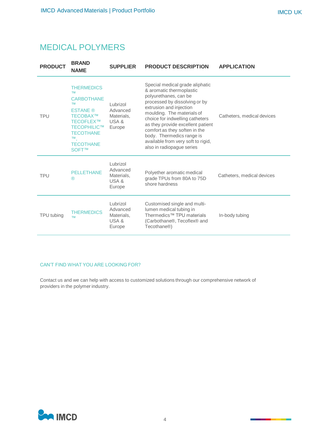#### MEDICAL POLYMERS

| <b>PRODUCT</b> | <b>BRAND</b><br><b>NAME</b>                                                                                                                                                               | <b>SUPPLIER</b>                                      | <b>PRODUCT DESCRIPTION</b>                                                                                                                                                                                                                                                                                                                                                              | <b>APPLICATION</b>         |
|----------------|-------------------------------------------------------------------------------------------------------------------------------------------------------------------------------------------|------------------------------------------------------|-----------------------------------------------------------------------------------------------------------------------------------------------------------------------------------------------------------------------------------------------------------------------------------------------------------------------------------------------------------------------------------------|----------------------------|
| <b>TPU</b>     | <b>THERMEDICS</b><br><b>TM</b><br><b>CARBOTHANE</b><br><b>TM</b><br><b>ESTANE</b> ®<br>TECOBAX™<br>TECOFLEX™<br>TECOPHILIC™<br><b>TECOTHANE</b><br><b>TM</b><br><b>TECOTHANE</b><br>SOFT™ | Lubrizol<br>Advanced<br>Materials,<br>USA&<br>Europe | Special medical grade aliphatic<br>& aromatic thermoplastic<br>polyurethanes, can be<br>processed by dissolving or by<br>extrusion and injection<br>moulding. The materials of<br>choice for indwelling catheters<br>as they provide excellent patient<br>comfort as they soften in the<br>body. Thermedics range is<br>available from very soft to rigid,<br>also in radiopague series | Catheters, medical devices |
| <b>TPU</b>     | <b>PELLETHANE</b><br>$^{\circledR}$                                                                                                                                                       | Lubrizol<br>Advanced<br>Materials,<br>USA&<br>Europe | Polyether aromatic medical<br>grade TPUs from 80A to 75D<br>shore hardness                                                                                                                                                                                                                                                                                                              | Catheters, medical devices |
| TPU tubing     | <b>THERMEDICS</b><br><b>TM</b>                                                                                                                                                            | Lubrizol<br>Advanced<br>Materials,<br>USA&<br>Europe | Customised single and multi-<br>lumen medical tubing in<br>Thermedics <sup>™</sup> TPU materials<br>(Carbothane <sup>®</sup> , Tecoflex <sup>®</sup> and<br>Tecothane <sup>®</sup> )                                                                                                                                                                                                    | In-body tubing             |

#### CAN'T FIND WHAT YOU ARE LOOKING FOR?

Contact us and we can help with access to customized solutions through our comprehensive network of providers in the polymer industry.